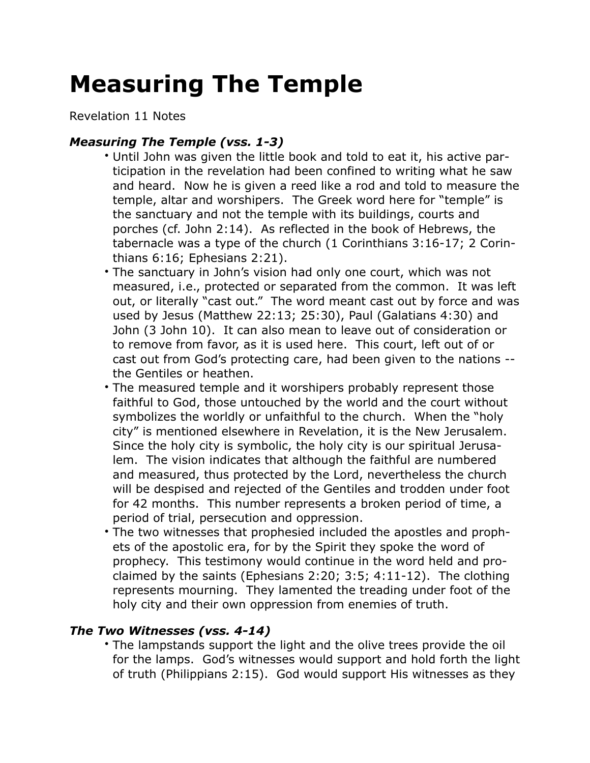## **Measuring The Temple**

Revelation 11 Notes

## *Measuring The Temple (vss. 1-3)*

- Until John was given the little book and told to eat it, his active participation in the revelation had been confined to writing what he saw and heard. Now he is given a reed like a rod and told to measure the temple, altar and worshipers. The Greek word here for "temple" is the sanctuary and not the temple with its buildings, courts and porches (cf. John 2:14). As reflected in the book of Hebrews, the tabernacle was a type of the church (1 Corinthians 3:16-17; 2 Corinthians 6:16; Ephesians 2:21).
- The sanctuary in John's vision had only one court, which was not measured, i.e., protected or separated from the common. It was left out, or literally "cast out." The word meant cast out by force and was used by Jesus (Matthew 22:13; 25:30), Paul (Galatians 4:30) and John (3 John 10). It can also mean to leave out of consideration or to remove from favor, as it is used here. This court, left out of or cast out from God's protecting care, had been given to the nations - the Gentiles or heathen.
- The measured temple and it worshipers probably represent those faithful to God, those untouched by the world and the court without symbolizes the worldly or unfaithful to the church. When the "holy city" is mentioned elsewhere in Revelation, it is the New Jerusalem. Since the holy city is symbolic, the holy city is our spiritual Jerusalem. The vision indicates that although the faithful are numbered and measured, thus protected by the Lord, nevertheless the church will be despised and rejected of the Gentiles and trodden under foot for 42 months. This number represents a broken period of time, a period of trial, persecution and oppression.
- The two witnesses that prophesied included the apostles and prophets of the apostolic era, for by the Spirit they spoke the word of prophecy. This testimony would continue in the word held and proclaimed by the saints (Ephesians 2:20; 3:5; 4:11-12). The clothing represents mourning. They lamented the treading under foot of the holy city and their own oppression from enemies of truth.

## *The Two Witnesses (vss. 4-14)*

• The lampstands support the light and the olive trees provide the oil for the lamps. God's witnesses would support and hold forth the light of truth (Philippians 2:15). God would support His witnesses as they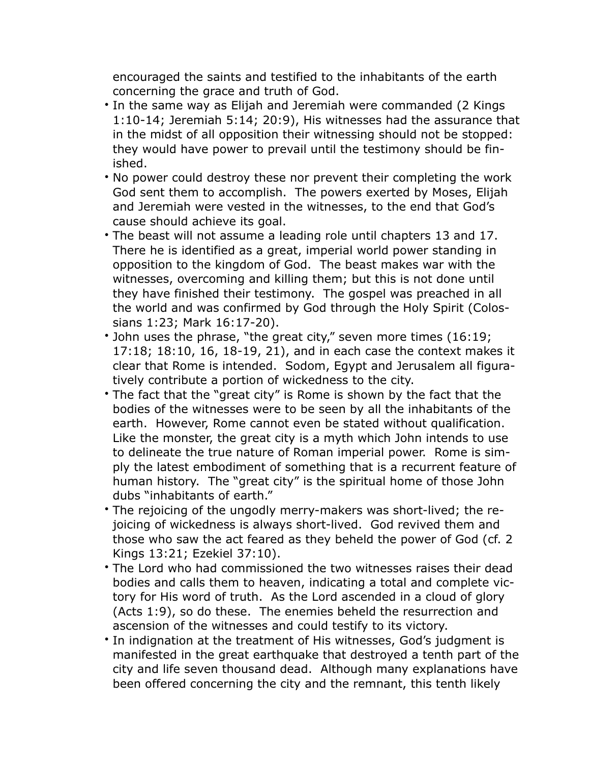encouraged the saints and testified to the inhabitants of the earth concerning the grace and truth of God.

- In the same way as Elijah and Jeremiah were commanded (2 Kings 1:10-14; Jeremiah 5:14; 20:9), His witnesses had the assurance that in the midst of all opposition their witnessing should not be stopped: they would have power to prevail until the testimony should be finished.
- No power could destroy these nor prevent their completing the work God sent them to accomplish. The powers exerted by Moses, Elijah and Jeremiah were vested in the witnesses, to the end that God's cause should achieve its goal.
- The beast will not assume a leading role until chapters 13 and 17. There he is identified as a great, imperial world power standing in opposition to the kingdom of God. The beast makes war with the witnesses, overcoming and killing them; but this is not done until they have finished their testimony. The gospel was preached in all the world and was confirmed by God through the Holy Spirit (Colossians 1:23; Mark 16:17-20).
- John uses the phrase, "the great city," seven more times (16:19; 17:18; 18:10, 16, 18-19, 21), and in each case the context makes it clear that Rome is intended. Sodom, Egypt and Jerusalem all figuratively contribute a portion of wickedness to the city.
- The fact that the "great city" is Rome is shown by the fact that the bodies of the witnesses were to be seen by all the inhabitants of the earth. However, Rome cannot even be stated without qualification. Like the monster, the great city is a myth which John intends to use to delineate the true nature of Roman imperial power. Rome is simply the latest embodiment of something that is a recurrent feature of human history. The "great city" is the spiritual home of those John dubs "inhabitants of earth."
- The rejoicing of the ungodly merry-makers was short-lived; the rejoicing of wickedness is always short-lived. God revived them and those who saw the act feared as they beheld the power of God (cf. 2 Kings 13:21; Ezekiel 37:10).
- The Lord who had commissioned the two witnesses raises their dead bodies and calls them to heaven, indicating a total and complete victory for His word of truth. As the Lord ascended in a cloud of glory (Acts 1:9), so do these. The enemies beheld the resurrection and ascension of the witnesses and could testify to its victory.
- In indignation at the treatment of His witnesses, God's judgment is manifested in the great earthquake that destroyed a tenth part of the city and life seven thousand dead. Although many explanations have been offered concerning the city and the remnant, this tenth likely